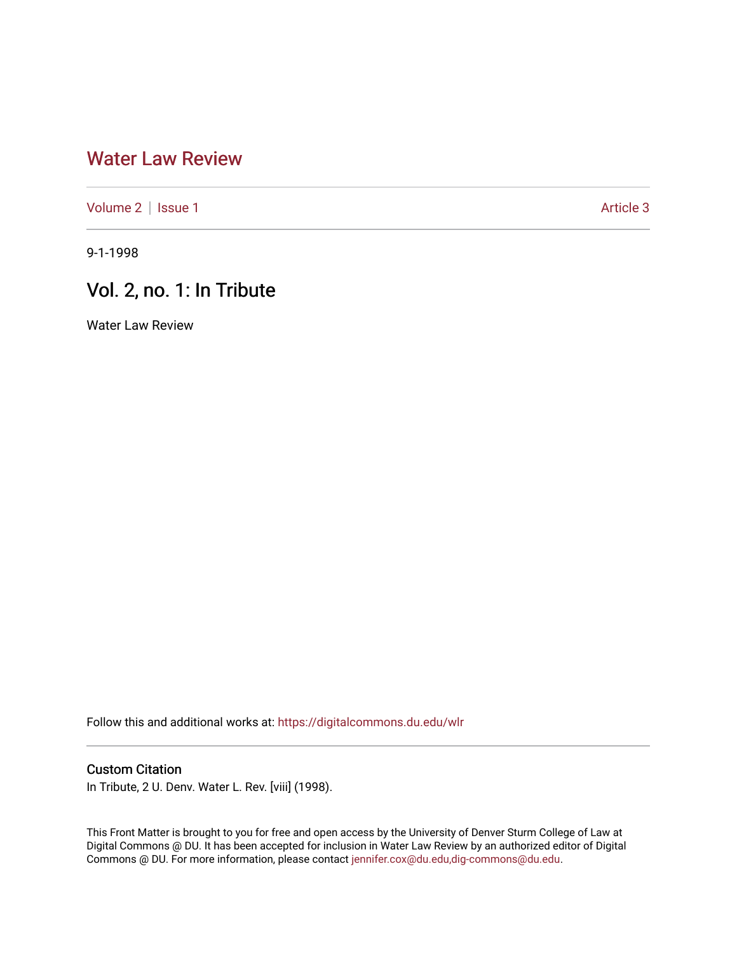## [Water Law Review](https://digitalcommons.du.edu/wlr)

[Volume 2](https://digitalcommons.du.edu/wlr/vol2) | [Issue 1](https://digitalcommons.du.edu/wlr/vol2/iss1) Article 3

9-1-1998

## Vol. 2, no. 1: In Tribute

Water Law Review

Follow this and additional works at: [https://digitalcommons.du.edu/wlr](https://digitalcommons.du.edu/wlr?utm_source=digitalcommons.du.edu%2Fwlr%2Fvol2%2Fiss1%2F3&utm_medium=PDF&utm_campaign=PDFCoverPages) 

## Custom Citation

In Tribute, 2 U. Denv. Water L. Rev. [viii] (1998).

This Front Matter is brought to you for free and open access by the University of Denver Sturm College of Law at Digital Commons @ DU. It has been accepted for inclusion in Water Law Review by an authorized editor of Digital Commons @ DU. For more information, please contact [jennifer.cox@du.edu,dig-commons@du.edu.](mailto:jennifer.cox@du.edu,dig-commons@du.edu)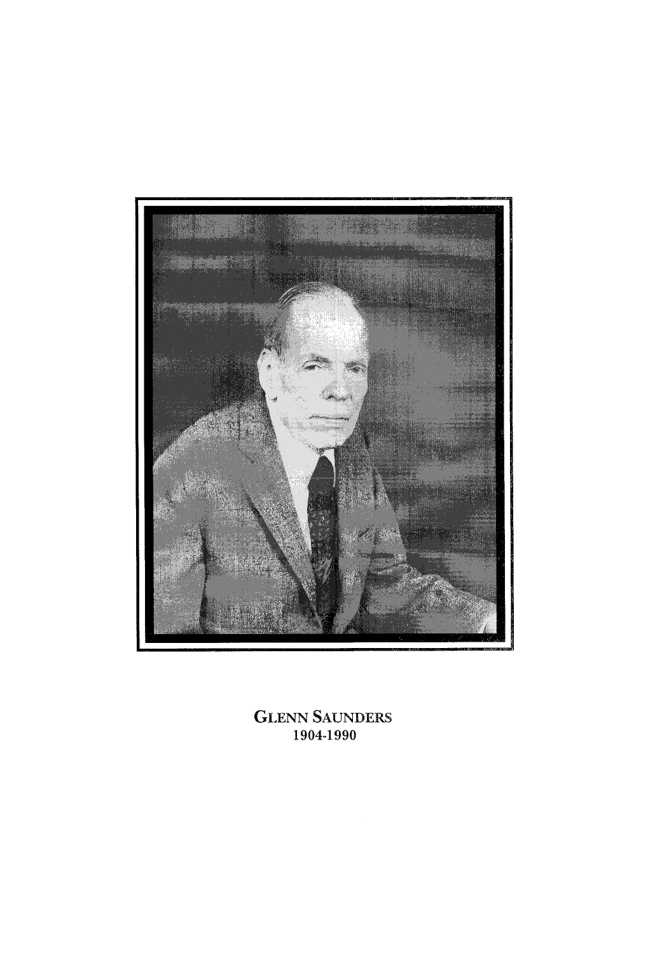

**GLENN** SAUNDERS 1904-1990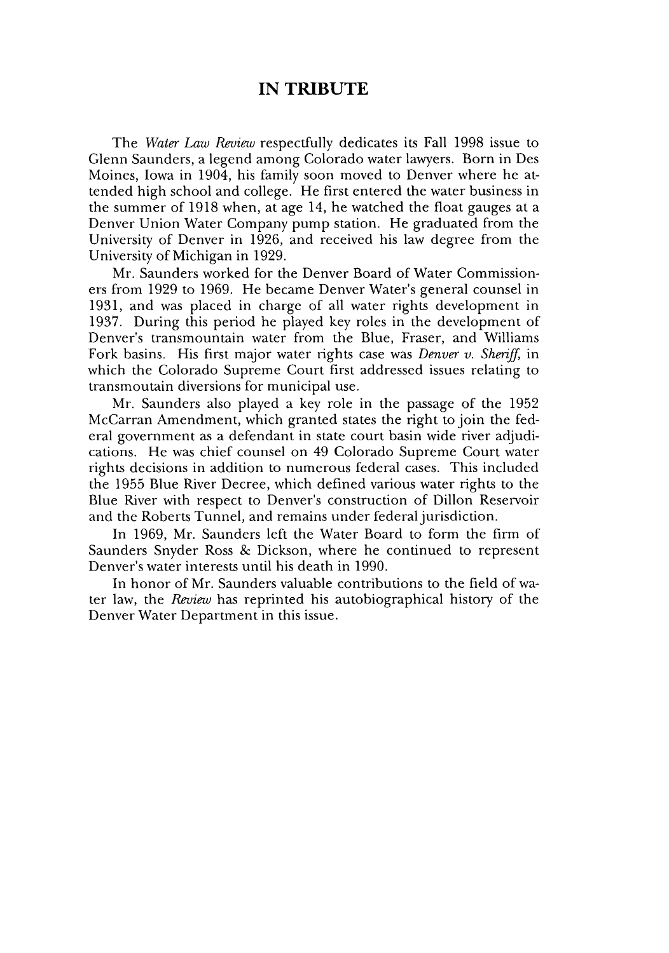## **IN TRIBUTE**

The *Water Law Review* respectfully dedicates its Fall 1998 issue to Glenn Saunders, a legend among Colorado water lawyers. Born in Des Moines, Iowa in 1904, his family soon moved to Denver where he attended high school and college. He first entered the water business in the summer of 1918 when, at age 14, he watched the float gauges at a Denver Union Water Company pump station. He graduated from the University of Denver in 1926, and received his law degree from the University of Michigan in 1929.

Mr. Saunders worked for the Denver Board of Water Commissioners from 1929 to 1969. He became Denver Water's general counsel in 1931, and was placed in charge of all water rights development in 1937. During this period he played key roles in the development of Denver's transmountain water from the Blue, Fraser, and Williams Fork basins. His first major water rights case was *Denver v. Sheriff*, in which the Colorado Supreme Court first addressed issues relating to transmoutain diversions for municipal use.

Mr. Saunders also played a key role in the passage of the 1952 McCarran Amendment, which granted states the right to join the federal government as a defendant in state court basin wide river adjudications. He was chief counsel on 49 Colorado Supreme Court water rights decisions in addition to numerous federal cases. This included the 1955 Blue River Decree, which defined various water rights to the Blue River with respect to Denver's construction of Dillon Reservoir and the Roberts Tunnel, and remains under federal jurisdiction.

In 1969, Mr. Saunders left the Water Board to form the firm of Saunders Snyder Ross & Dickson, where he continued to represent Denver's water interests until his death in 1990.

In honor of Mr. Saunders valuable contributions to the field of water law, the *Review* has reprinted his autobiographical history of the Denver Water Department in this issue.